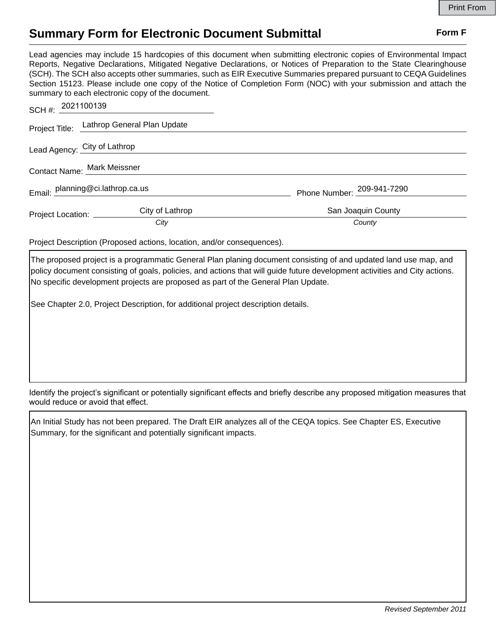## **Summary Form for Electronic Document Submittal Form F Form F**

Lead agencies may include 15 hardcopies of this document when submitting electronic copies of Environmental Impact Reports, Negative Declarations, Mitigated Negative Declarations, or Notices of Preparation to the State Clearinghouse (SCH). The SCH also accepts other summaries, such as EIR Executive Summaries prepared pursuant to CEQA Guidelines Section 15123. Please include one copy of the Notice of Completion Form (NOC) with your submission and attach the summary to each electronic copy of the document.

| SCH #: 2021100139                |                                            |                            |
|----------------------------------|--------------------------------------------|----------------------------|
|                                  | Project Title: Lathrop General Plan Update |                            |
|                                  | Lead Agency: City of Lathrop               |                            |
| Contact Name: Mark Meissner      |                                            |                            |
| Email: planning@ci.lathrop.ca.us |                                            | Phone Number: 209-941-7290 |
| Project Location: ______         | City of Lathrop                            | San Joaquin County         |
|                                  | City                                       | County                     |

Project Description (Proposed actions, location, and/or consequences).

The proposed project is a programmatic General Plan planing document consisting of and updated land use map, and policy document consisting of goals, policies, and actions that will guide future development activities and City actions. No specific development projects are proposed as part of the General Plan Update.

See Chapter 2.0, Project Description, for additional project description details.

Identify the project's significant or potentially significant effects and briefly describe any proposed mitigation measures that would reduce or avoid that effect.

An Initial Study has not been prepared. The Draft EIR analyzes all of the CEQA topics. See Chapter ES, Executive Summary, for the significant and potentially significant impacts.